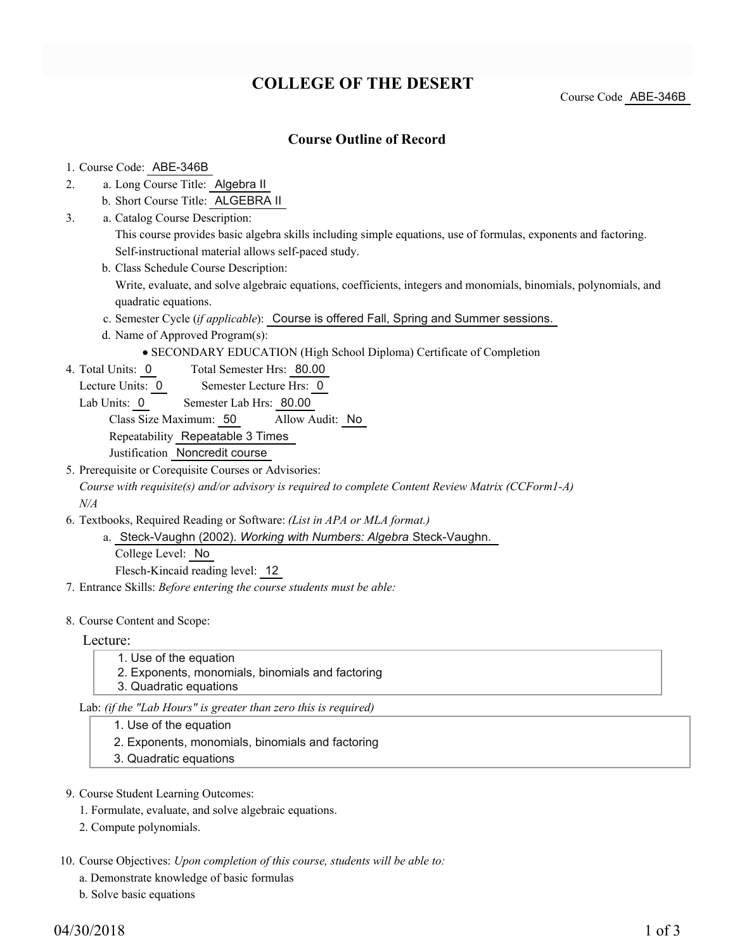# **COLLEGE OF THE DESERT**

Course Code ABE-346B

### **Course Outline of Record**

### 1. Course Code: ABE-346B

- a. Long Course Title: Algebra II 2.
	- b. Short Course Title: ALGEBRA II
- Catalog Course Description: a. 3.
	- This course provides basic algebra skills including simple equations, use of formulas, exponents and factoring. Self-instructional material allows self-paced study.
	- b. Class Schedule Course Description:
		- Write, evaluate, and solve algebraic equations, coefficients, integers and monomials, binomials, polynomials, and quadratic equations.
	- c. Semester Cycle (*if applicable*): Course is offered Fall, Spring and Summer sessions.
	- d. Name of Approved Program(s):
		- SECONDARY EDUCATION (High School Diploma) Certificate of Completion
- Total Semester Hrs: 80.00 4. Total Units: 0
	- Lecture Units: 0 Semester Lecture Hrs: 0
	- Lab Units: 0 Semester Lab Hrs: 80.00

Class Size Maximum: 50 Allow Audit: No

Repeatability Repeatable 3 Times

Justification Noncredit course

5. Prerequisite or Corequisite Courses or Advisories: *Course with requisite(s) and/or advisory is required to complete Content Review Matrix (CCForm1-A) N/A*

- Textbooks, Required Reading or Software: *(List in APA or MLA format.)* 6.
	- a. Steck-Vaughn (2002). Working with Numbers: Algebra Steck-Vaughn. College Level: No

Flesch-Kincaid reading level: 12

7. Entrance Skills: *Before entering the course students must be able:*

### 8. Course Content and Scope:

Lecture:

- 1. Use of the equation
- 2. Exponents, monomials, binomials and factoring
- 3. Quadratic equations

Lab: *(if the "Lab Hours" is greater than zero this is required)*

- 1. Use of the equation
- 2. Exponents, monomials, binomials and factoring
- 3. Quadratic equations
- 9. Course Student Learning Outcomes:
	- 1. Formulate, evaluate, and solve algebraic equations.
	- 2. Compute polynomials.
- 10. Course Objectives: Upon completion of this course, students will be able to:
	- a. Demonstrate knowledge of basic formulas
	- b. Solve basic equations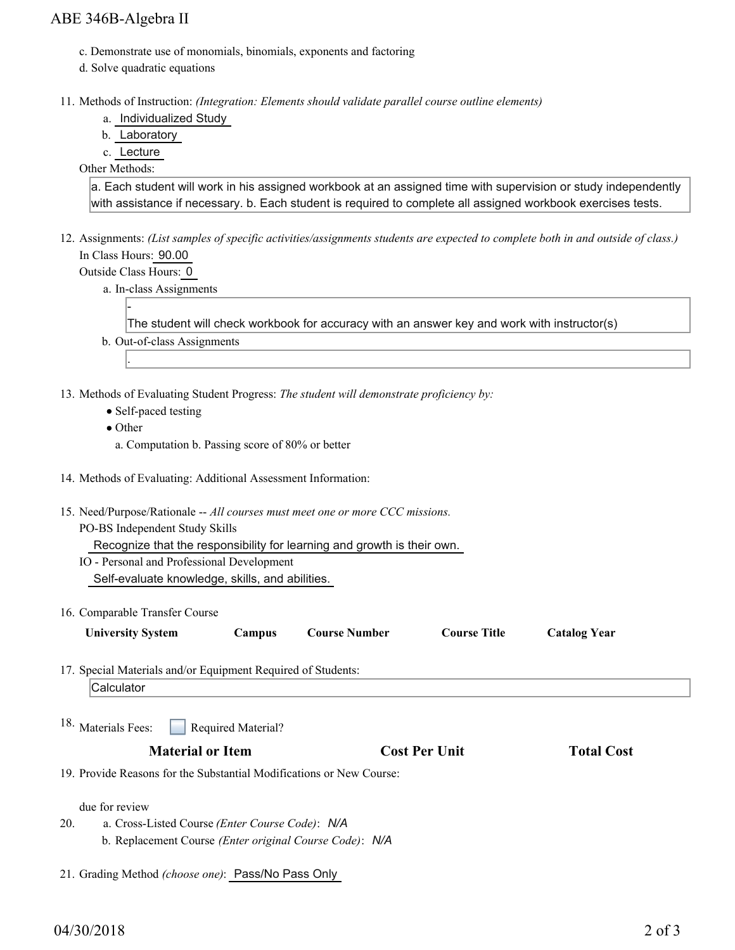### ABE 346B-Algebra II

- c. Demonstrate use of monomials, binomials, exponents and factoring
- d. Solve quadratic equations
- 11. Methods of Instruction: *(Integration: Elements should validate parallel course outline elements)* 
	- a. Individualized Study
	- b. Laboratory
	- c. Lecture

Other Methods:

a. Each student will work in his assigned workbook at an assigned time with supervision or study independently with assistance if necessary. b. Each student is required to complete all assigned workbook exercises tests.

- 12. Assignments: (List samples of specific activities/assignments students are expected to complete both in and outside of class.) In Class Hours: 90.00
	- Outside Class Hours: 0

-

.

a. In-class Assignments

The student will check workbook for accuracy with an answer key and work with instructor(s)

- b. Out-of-class Assignments
- 13. Methods of Evaluating Student Progress: The student will demonstrate proficiency by:
	- Self-paced testing
	- Other
	- a. Computation b. Passing score of 80% or better
- 14. Methods of Evaluating: Additional Assessment Information:
- 15. Need/Purpose/Rationale -- All courses must meet one or more CCC missions.
	- PO-BS Independent Study Skills

Recognize that the responsibility for learning and growth is their own.

IO - Personal and Professional Development Self-evaluate knowledge, skills, and abilities.

16. Comparable Transfer Course

| <b>University System</b> | Campus | <b>Course Number</b> | Course Title | <b>Catalog Year</b> |
|--------------------------|--------|----------------------|--------------|---------------------|
|                          |        |                      |              |                     |

17. Special Materials and/or Equipment Required of Students:

**Calculator** 

Required Material? 18. Materials Fees:

### **Material or Item Cost Per Unit Total Cost**

19. Provide Reasons for the Substantial Modifications or New Course:

due for review

- a. Cross-Listed Course *(Enter Course Code)*: *N/A* b. Replacement Course *(Enter original Course Code)*: *N/A* 20.
- 21. Grading Method *(choose one)*: Pass/No Pass Only